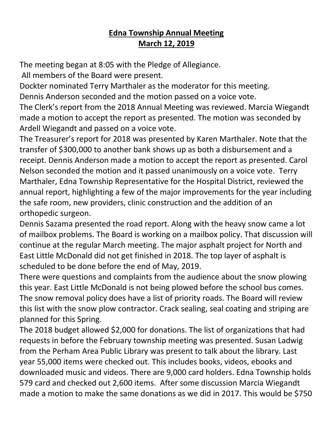## **Edna Township Annual Meeting March 12, 2019**

The meeting began at 8:05 with the Pledge of Allegiance.

All members of the Board were present.

Dockter nominated Terry Marthaler as the moderator for this meeting. Dennis Anderson seconded and the motion passed on a voice vote.

The Clerk's report from the 2018 Annual Meeting was reviewed. Marcia Wiegandt made a motion to accept the report as presented. The motion was seconded by Ardell Wiegandt and passed on a voice vote.

The Treasurer's report for 2018 was presented by Karen Marthaler. Note that the transfer of \$300,000 to another bank shows up as both a disbursement and a receipt. Dennis Anderson made a motion to accept the report as presented. Carol Nelson seconded the motion and it passed unanimously on a voice vote. Terry Marthaler, Edna Township Representative for the Hospital District, reviewed the annual report, highlighting a few of the major improvements for the year including the safe room, new providers, clinic construction and the addition of an orthopedic surgeon.

Dennis Sazama presented the road report. Along with the heavy snow came a lot of mailbox problems. The Board is working on a mailbox policy. That discussion will continue at the regular March meeting. The major asphalt project for North and East Little McDonald did not get finished in 2018. The top layer of asphalt is scheduled to be done before the end of May, 2019.

There were questions and complaints from the audience about the snow plowing this year. East Little McDonald is not being plowed before the school bus comes. The snow removal policy does have a list of priority roads. The Board will review this list with the snow plow contractor. Crack sealing, seal coating and striping are planned for this Spring.

The 2018 budget allowed \$2,000 for donations. The list of organizations that had requests in before the February township meeting was presented. Susan Ladwig from the Perham Area Public Library was present to talk about the library. Last year 55,000 items were checked out. This includes books, videos, ebooks and downloaded music and videos. There are 9,000 card holders. Edna Township holds 579 card and checked out 2,600 items. After some discussion Marcia Wiegandt made a motion to make the same donations as we did in 2017. This would be \$750